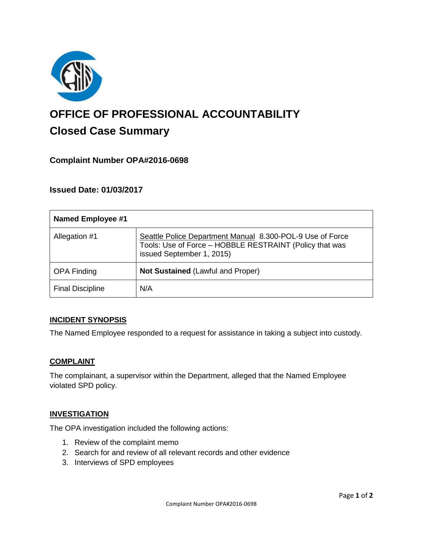

# **OFFICE OF PROFESSIONAL ACCOUNTABILITY Closed Case Summary**

## **Complaint Number OPA#2016-0698**

## **Issued Date: 01/03/2017**

| <b>Named Employee #1</b> |                                                                                                                                                   |
|--------------------------|---------------------------------------------------------------------------------------------------------------------------------------------------|
| Allegation #1            | Seattle Police Department Manual 8.300-POL-9 Use of Force<br>Tools: Use of Force - HOBBLE RESTRAINT (Policy that was<br>issued September 1, 2015) |
| <b>OPA Finding</b>       | Not Sustained (Lawful and Proper)                                                                                                                 |
| <b>Final Discipline</b>  | N/A                                                                                                                                               |

#### **INCIDENT SYNOPSIS**

The Named Employee responded to a request for assistance in taking a subject into custody.

#### **COMPLAINT**

The complainant, a supervisor within the Department, alleged that the Named Employee violated SPD policy.

#### **INVESTIGATION**

The OPA investigation included the following actions:

- 1. Review of the complaint memo
- 2. Search for and review of all relevant records and other evidence
- 3. Interviews of SPD employees